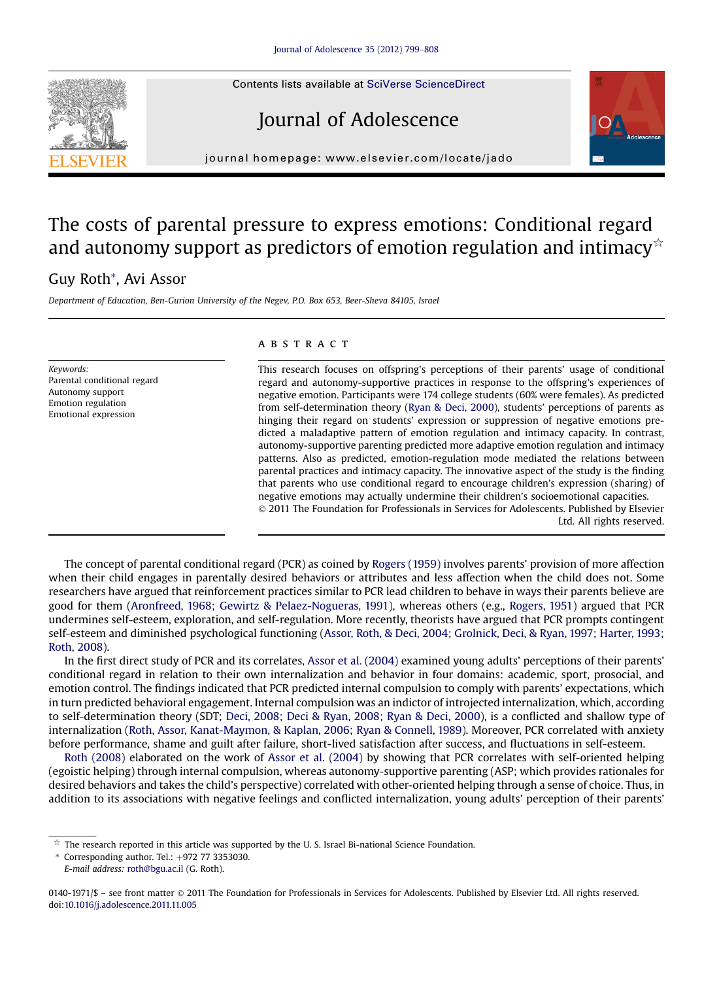Contents lists available at [SciVerse ScienceDirect](www.sciencedirect.com/science/journal/01401971)

# Journal of Adolescence



journal homepage: [www.elsevier.com/locate/jado](http://www.elsevier.com/locate/jado)

# The costs of parental pressure to express emotions: Conditional regard and autonomy support as predictors of emotion regulation and intimacy $\dot{\alpha}$

# Guy Roth\*, Avi Assor

Department of Education, Ben-Gurion University of the Negev, P.O. Box 653, Beer-Sheva 84105, Israel

Keywords: Parental conditional regard Autonomy support Emotion regulation Emotional expression

# **ABSTRACT**

This research focuses on offspring's perceptions of their parents' usage of conditional regard and autonomy-supportive practices in response to the offspring's experiences of negative emotion. Participants were 174 college students (60% were females). As predicted from self-determination theory [\(Ryan & Deci, 2000](#page-8-0)), students' perceptions of parents as hinging their regard on students' expression or suppression of negative emotions predicted a maladaptive pattern of emotion regulation and intimacy capacity. In contrast, autonomy-supportive parenting predicted more adaptive emotion regulation and intimacy patterns. Also as predicted, emotion-regulation mode mediated the relations between parental practices and intimacy capacity. The innovative aspect of the study is the finding that parents who use conditional regard to encourage children's expression (sharing) of negative emotions may actually undermine their children's socioemotional capacities. 2011 The Foundation for Professionals in Services for Adolescents. Published by Elsevier Ltd. All rights reserved.

The concept of parental conditional regard (PCR) as coined by [Rogers \(1959\)](#page-8-0) involves parents' provision of more affection when their child engages in parentally desired behaviors or attributes and less affection when the child does not. Some researchers have argued that reinforcement practices similar to PCR lead children to behave in ways their parents believe are good for them [\(Aronfreed, 1968; Gewirtz & Pelaez-Nogueras, 1991](#page-8-0)), whereas others (e.g., [Rogers, 1951\)](#page-8-0) argued that PCR undermines self-esteem, exploration, and self-regulation. More recently, theorists have argued that PCR prompts contingent self-esteem and diminished psychological functioning [\(Assor, Roth, & Deci, 2004; Grolnick, Deci, & Ryan, 1997; Harter, 1993;](#page-8-0) [Roth, 2008\)](#page-8-0).

In the first direct study of PCR and its correlates, [Assor et al. \(2004\)](#page-8-0) examined young adults' perceptions of their parents' conditional regard in relation to their own internalization and behavior in four domains: academic, sport, prosocial, and emotion control. The findings indicated that PCR predicted internal compulsion to comply with parents' expectations, which in turn predicted behavioral engagement. Internal compulsion was an indictor of introjected internalization, which, according to self-determination theory (SDT; [Deci, 2008; Deci & Ryan, 2008; Ryan & Deci, 2000\)](#page-8-0), is a conflicted and shallow type of internalization ([Roth, Assor, Kanat-Maymon, & Kaplan, 2006; Ryan & Connell, 1989\)](#page-8-0). Moreover, PCR correlated with anxiety before performance, shame and guilt after failure, short-lived satisfaction after success, and fluctuations in self-esteem.

[Roth \(2008\)](#page-8-0) elaborated on the work of [Assor et al. \(2004\)](#page-8-0) by showing that PCR correlates with self-oriented helping (egoistic helping) through internal compulsion, whereas autonomy-supportive parenting (ASP; which provides rationales for desired behaviors and takes the child's perspective) correlated with other-oriented helping through a sense of choice. Thus, in addition to its associations with negative feelings and conflicted internalization, young adults' perception of their parents'

Corresponding author. Tel.:  $+972$  77 3353030.

 $\dot{\mathbf{x}}$  The research reported in this article was supported by the U. S. Israel Bi-national Science Foundation.

E-mail address: [roth@bgu.ac.il](mailto:roth@bgu.ac.il) (G. Roth).

<sup>0140-1971/\$ -</sup> see front matter © 2011 The Foundation for Professionals in Services for Adolescents. Published by Elsevier Ltd. All rights reserved. doi:[10.1016/j.adolescence.2011.11.005](http://dx.doi.org/10.1016/j.adolescence.2011.11.005)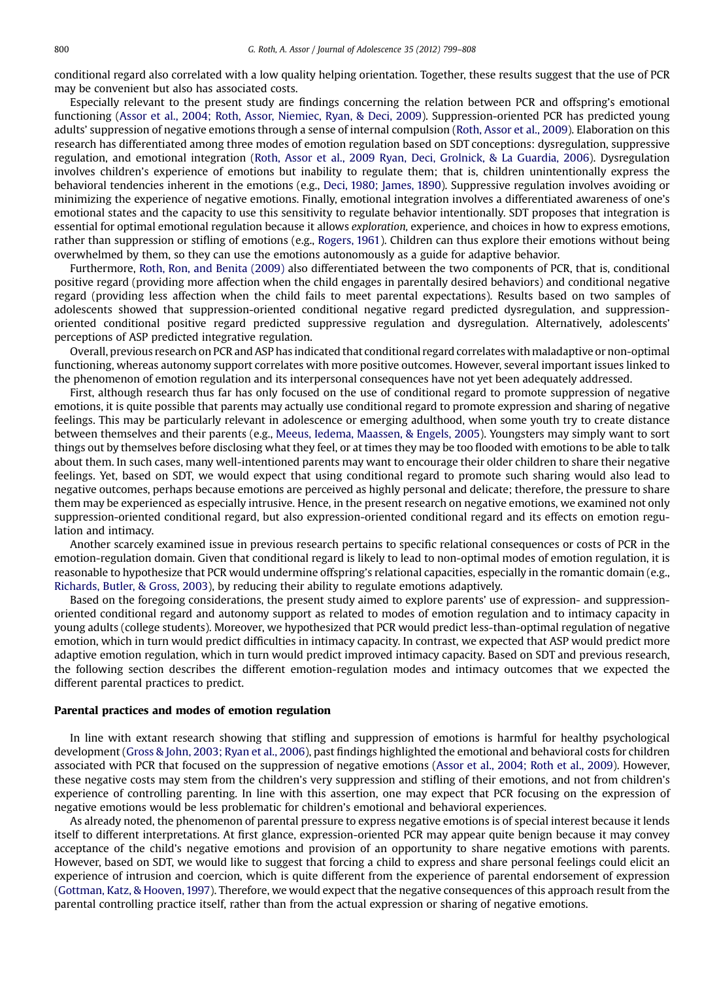conditional regard also correlated with a low quality helping orientation. Together, these results suggest that the use of PCR may be convenient but also has associated costs.

Especially relevant to the present study are findings concerning the relation between PCR and offspring's emotional functioning ([Assor et al., 2004; Roth, Assor, Niemiec, Ryan, & Deci, 2009](#page-8-0)). Suppression-oriented PCR has predicted young adults' suppression of negative emotions through a sense of internal compulsion ([Roth, Assor et al., 2009\)](#page-8-0). Elaboration on this research has differentiated among three modes of emotion regulation based on SDT conceptions: dysregulation, suppressive regulation, and emotional integration ([Roth, Assor et al., 2009 Ryan, Deci, Grolnick, & La Guardia, 2006](#page-8-0)). Dysregulation involves children's experience of emotions but inability to regulate them; that is, children unintentionally express the behavioral tendencies inherent in the emotions (e.g., [Deci, 1980; James, 1890](#page-8-0)). Suppressive regulation involves avoiding or minimizing the experience of negative emotions. Finally, emotional integration involves a differentiated awareness of one's emotional states and the capacity to use this sensitivity to regulate behavior intentionally. SDT proposes that integration is essential for optimal emotional regulation because it allows exploration, experience, and choices in how to express emotions, rather than suppression or stifling of emotions (e.g., [Rogers, 1961](#page-8-0)). Children can thus explore their emotions without being overwhelmed by them, so they can use the emotions autonomously as a guide for adaptive behavior.

Furthermore, [Roth, Ron, and Benita \(2009\)](#page-8-0) also differentiated between the two components of PCR, that is, conditional positive regard (providing more affection when the child engages in parentally desired behaviors) and conditional negative regard (providing less affection when the child fails to meet parental expectations). Results based on two samples of adolescents showed that suppression-oriented conditional negative regard predicted dysregulation, and suppressionoriented conditional positive regard predicted suppressive regulation and dysregulation. Alternatively, adolescents' perceptions of ASP predicted integrative regulation.

Overall, previous research on PCR and ASP has indicated that conditional regard correlates with maladaptive or non-optimal functioning, whereas autonomy support correlates with more positive outcomes. However, several important issues linked to the phenomenon of emotion regulation and its interpersonal consequences have not yet been adequately addressed.

First, although research thus far has only focused on the use of conditional regard to promote suppression of negative emotions, it is quite possible that parents may actually use conditional regard to promote expression and sharing of negative feelings. This may be particularly relevant in adolescence or emerging adulthood, when some youth try to create distance between themselves and their parents (e.g., [Meeus, Iedema, Maassen, & Engels, 2005\)](#page-8-0). Youngsters may simply want to sort things out by themselves before disclosing what they feel, or at times they may be too flooded with emotions to be able to talk about them. In such cases, many well-intentioned parents may want to encourage their older children to share their negative feelings. Yet, based on SDT, we would expect that using conditional regard to promote such sharing would also lead to negative outcomes, perhaps because emotions are perceived as highly personal and delicate; therefore, the pressure to share them may be experienced as especially intrusive. Hence, in the present research on negative emotions, we examined not only suppression-oriented conditional regard, but also expression-oriented conditional regard and its effects on emotion regulation and intimacy.

Another scarcely examined issue in previous research pertains to specific relational consequences or costs of PCR in the emotion-regulation domain. Given that conditional regard is likely to lead to non-optimal modes of emotion regulation, it is reasonable to hypothesize that PCR would undermine offspring's relational capacities, especially in the romantic domain (e.g., [Richards, Butler, & Gross, 2003\)](#page-8-0), by reducing their ability to regulate emotions adaptively.

Based on the foregoing considerations, the present study aimed to explore parents' use of expression- and suppressionoriented conditional regard and autonomy support as related to modes of emotion regulation and to intimacy capacity in young adults (college students). Moreover, we hypothesized that PCR would predict less-than-optimal regulation of negative emotion, which in turn would predict difficulties in intimacy capacity. In contrast, we expected that ASP would predict more adaptive emotion regulation, which in turn would predict improved intimacy capacity. Based on SDT and previous research, the following section describes the different emotion-regulation modes and intimacy outcomes that we expected the different parental practices to predict.

# Parental practices and modes of emotion regulation

In line with extant research showing that stifling and suppression of emotions is harmful for healthy psychological development ([Gross & John, 2003; Ryan et al., 2006](#page-8-0)), past findings highlighted the emotional and behavioral costs for children associated with PCR that focused on the suppression of negative emotions ([Assor et al., 2004; Roth et al., 2009](#page-8-0)). However, these negative costs may stem from the children's very suppression and stifling of their emotions, and not from children's experience of controlling parenting. In line with this assertion, one may expect that PCR focusing on the expression of negative emotions would be less problematic for children's emotional and behavioral experiences.

As already noted, the phenomenon of parental pressure to express negative emotions is of special interest because it lends itself to different interpretations. At first glance, expression-oriented PCR may appear quite benign because it may convey acceptance of the child's negative emotions and provision of an opportunity to share negative emotions with parents. However, based on SDT, we would like to suggest that forcing a child to express and share personal feelings could elicit an experience of intrusion and coercion, which is quite different from the experience of parental endorsement of expression [\(Gottman, Katz, & Hooven, 1997](#page-8-0)). Therefore, we would expect that the negative consequences of this approach result from the parental controlling practice itself, rather than from the actual expression or sharing of negative emotions.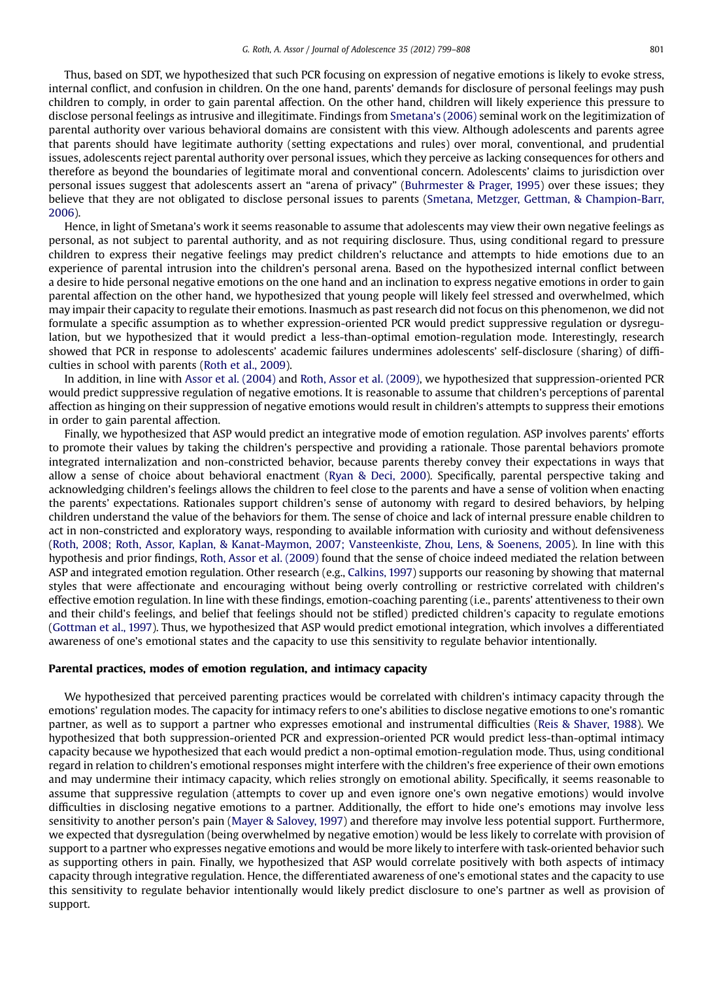Thus, based on SDT, we hypothesized that such PCR focusing on expression of negative emotions is likely to evoke stress, internal conflict, and confusion in children. On the one hand, parents' demands for disclosure of personal feelings may push children to comply, in order to gain parental affection. On the other hand, children will likely experience this pressure to disclose personal feelings as intrusive and illegitimate. Findings from [Smetana](#page-9-0)'s (2006) seminal work on the legitimization of parental authority over various behavioral domains are consistent with this view. Although adolescents and parents agree that parents should have legitimate authority (setting expectations and rules) over moral, conventional, and prudential issues, adolescents reject parental authority over personal issues, which they perceive as lacking consequences for others and therefore as beyond the boundaries of legitimate moral and conventional concern. Adolescents' claims to jurisdiction over personal issues suggest that adolescents assert an "arena of privacy" ([Buhrmester & Prager, 1995](#page-8-0)) over these issues; they believe that they are not obligated to disclose personal issues to parents ([Smetana, Metzger, Gettman, & Champion-Barr,](#page-9-0) [2006](#page-9-0)).

Hence, in light of Smetana's work it seems reasonable to assume that adolescents may view their own negative feelings as personal, as not subject to parental authority, and as not requiring disclosure. Thus, using conditional regard to pressure children to express their negative feelings may predict children's reluctance and attempts to hide emotions due to an experience of parental intrusion into the children's personal arena. Based on the hypothesized internal conflict between a desire to hide personal negative emotions on the one hand and an inclination to express negative emotions in order to gain parental affection on the other hand, we hypothesized that young people will likely feel stressed and overwhelmed, which may impair their capacity to regulate their emotions. Inasmuch as past research did not focus on this phenomenon, we did not formulate a specific assumption as to whether expression-oriented PCR would predict suppressive regulation or dysregulation, but we hypothesized that it would predict a less-than-optimal emotion-regulation mode. Interestingly, research showed that PCR in response to adolescents' academic failures undermines adolescents' self-disclosure (sharing) of difficulties in school with parents [\(Roth et al., 2009](#page-8-0)).

In addition, in line with [Assor et al. \(2004\)](#page-8-0) and [Roth, Assor et al. \(2009\),](#page-8-0) we hypothesized that suppression-oriented PCR would predict suppressive regulation of negative emotions. It is reasonable to assume that children's perceptions of parental affection as hinging on their suppression of negative emotions would result in children's attempts to suppress their emotions in order to gain parental affection.

Finally, we hypothesized that ASP would predict an integrative mode of emotion regulation. ASP involves parents' efforts to promote their values by taking the children's perspective and providing a rationale. Those parental behaviors promote integrated internalization and non-constricted behavior, because parents thereby convey their expectations in ways that allow a sense of choice about behavioral enactment [\(Ryan & Deci, 2000\)](#page-8-0). Specifically, parental perspective taking and acknowledging children's feelings allows the children to feel close to the parents and have a sense of volition when enacting the parents' expectations. Rationales support children's sense of autonomy with regard to desired behaviors, by helping children understand the value of the behaviors for them. The sense of choice and lack of internal pressure enable children to act in non-constricted and exploratory ways, responding to available information with curiosity and without defensiveness ([Roth, 2008; Roth, Assor, Kaplan, & Kanat-Maymon, 2007; Vansteenkiste, Zhou, Lens, & Soenens, 2005\)](#page-8-0). In line with this hypothesis and prior findings, [Roth, Assor et al. \(2009\)](#page-8-0) found that the sense of choice indeed mediated the relation between ASP and integrated emotion regulation. Other research (e.g., [Calkins, 1997](#page-8-0)) supports our reasoning by showing that maternal styles that were affectionate and encouraging without being overly controlling or restrictive correlated with children's effective emotion regulation. In line with these findings, emotion-coaching parenting (i.e., parents' attentiveness to their own and their child's feelings, and belief that feelings should not be stifled) predicted children's capacity to regulate emotions ([Gottman et al., 1997](#page-8-0)). Thus, we hypothesized that ASP would predict emotional integration, which involves a differentiated awareness of one's emotional states and the capacity to use this sensitivity to regulate behavior intentionally.

# Parental practices, modes of emotion regulation, and intimacy capacity

We hypothesized that perceived parenting practices would be correlated with children's intimacy capacity through the emotions' regulation modes. The capacity for intimacy refers to one's abilities to disclose negative emotions to one's romantic partner, as well as to support a partner who expresses emotional and instrumental difficulties ([Reis & Shaver, 1988\)](#page-8-0). We hypothesized that both suppression-oriented PCR and expression-oriented PCR would predict less-than-optimal intimacy capacity because we hypothesized that each would predict a non-optimal emotion-regulation mode. Thus, using conditional regard in relation to children's emotional responses might interfere with the children's free experience of their own emotions and may undermine their intimacy capacity, which relies strongly on emotional ability. Specifically, it seems reasonable to assume that suppressive regulation (attempts to cover up and even ignore one's own negative emotions) would involve difficulties in disclosing negative emotions to a partner. Additionally, the effort to hide one's emotions may involve less sensitivity to another person's pain [\(Mayer & Salovey, 1997\)](#page-8-0) and therefore may involve less potential support. Furthermore, we expected that dysregulation (being overwhelmed by negative emotion) would be less likely to correlate with provision of support to a partner who expresses negative emotions and would be more likely to interfere with task-oriented behavior such as supporting others in pain. Finally, we hypothesized that ASP would correlate positively with both aspects of intimacy capacity through integrative regulation. Hence, the differentiated awareness of one's emotional states and the capacity to use this sensitivity to regulate behavior intentionally would likely predict disclosure to one's partner as well as provision of support.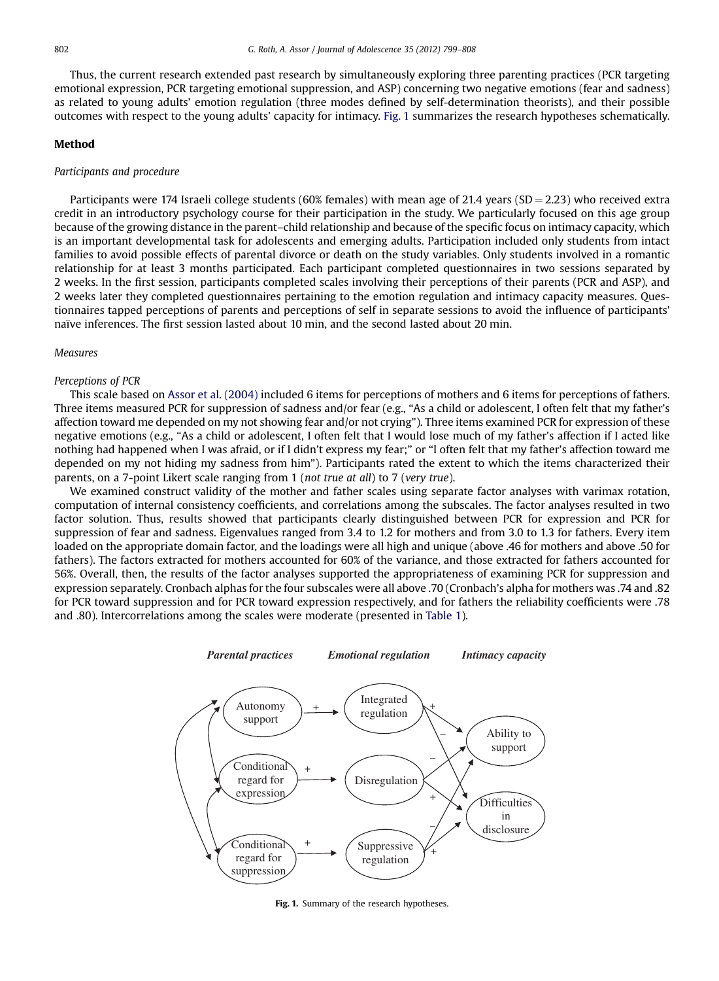Thus, the current research extended past research by simultaneously exploring three parenting practices (PCR targeting emotional expression, PCR targeting emotional suppression, and ASP) concerning two negative emotions (fear and sadness) as related to young adults' emotion regulation (three modes defined by self-determination theorists), and their possible outcomes with respect to the young adults' capacity for intimacy. Fig. 1 summarizes the research hypotheses schematically.

# Method

#### Participants and procedure

Participants were 174 Israeli college students (60% females) with mean age of 21.4 years (SD = 2.23) who received extra credit in an introductory psychology course for their participation in the study. We particularly focused on this age group because of the growing distance in the parent–child relationship and because of the specific focus on intimacy capacity, which is an important developmental task for adolescents and emerging adults. Participation included only students from intact families to avoid possible effects of parental divorce or death on the study variables. Only students involved in a romantic relationship for at least 3 months participated. Each participant completed questionnaires in two sessions separated by 2 weeks. In the first session, participants completed scales involving their perceptions of their parents (PCR and ASP), and 2 weeks later they completed questionnaires pertaining to the emotion regulation and intimacy capacity measures. Questionnaires tapped perceptions of parents and perceptions of self in separate sessions to avoid the influence of participants' naïve inferences. The first session lasted about 10 min, and the second lasted about 20 min.

#### Measures

# Perceptions of PCR

This scale based on [Assor et al. \(2004\)](#page-8-0) included 6 items for perceptions of mothers and 6 items for perceptions of fathers. Three items measured PCR for suppression of sadness and/or fear (e.g., "As a child or adolescent, I often felt that my father's affection toward me depended on my not showing fear and/or not crying"). Three items examined PCR for expression of these negative emotions (e.g., "As a child or adolescent, I often felt that I would lose much of my father's affection if I acted like nothing had happened when I was afraid, or if I didn't express my fear;" or "I often felt that my father's affection toward me depended on my not hiding my sadness from him"). Participants rated the extent to which the items characterized their parents, on a 7-point Likert scale ranging from 1 (not true at all) to 7 (very true).

We examined construct validity of the mother and father scales using separate factor analyses with varimax rotation, computation of internal consistency coefficients, and correlations among the subscales. The factor analyses resulted in two factor solution. Thus, results showed that participants clearly distinguished between PCR for expression and PCR for suppression of fear and sadness. Eigenvalues ranged from 3.4 to 1.2 for mothers and from 3.0 to 1.3 for fathers. Every item loaded on the appropriate domain factor, and the loadings were all high and unique (above .46 for mothers and above .50 for fathers). The factors extracted for mothers accounted for 60% of the variance, and those extracted for fathers accounted for 56%. Overall, then, the results of the factor analyses supported the appropriateness of examining PCR for suppression and expression separately. Cronbach alphas for the four subscales were all above .70 (Cronbach's alpha for mothers was .74 and .82 for PCR toward suppression and for PCR toward expression respectively, and for fathers the reliability coefficients were .78 and .80). Intercorrelations among the scales were moderate (presented in [Table 1\)](#page-4-0).



Fig. 1. Summary of the research hypotheses.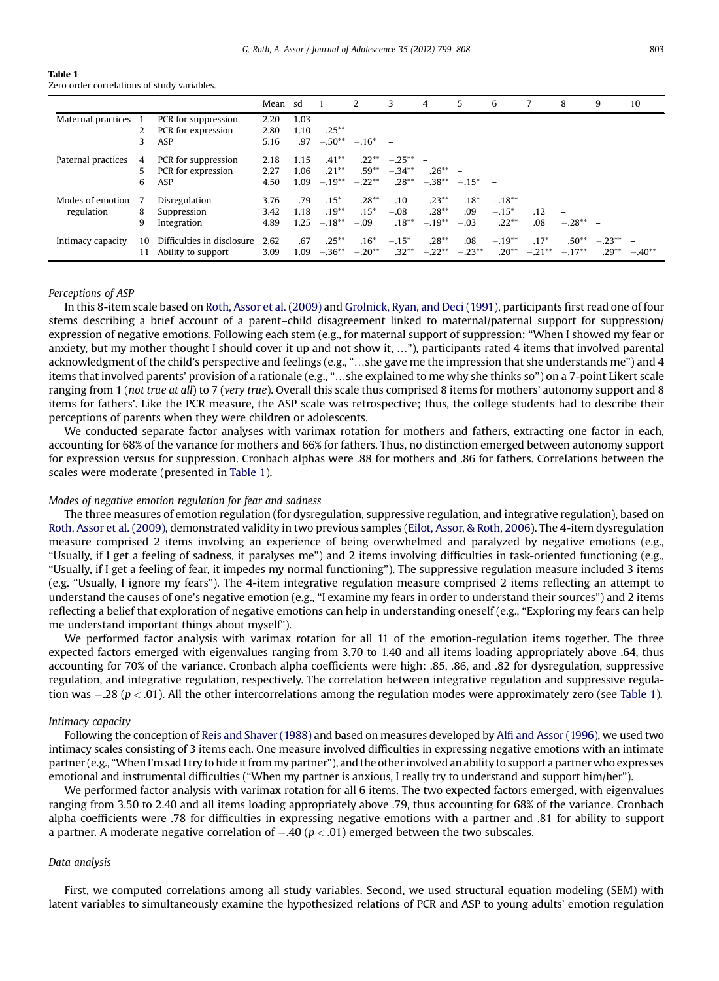<span id="page-4-0"></span>

| Table 1                                     |  |
|---------------------------------------------|--|
| Zero order correlations of study variables. |  |

|                    |    |                            | Mean sd |      |                          | 2        | 3         | $\overline{4}$                     | .5                     | 6         | 7         | 8                        | 9        | 10       |
|--------------------|----|----------------------------|---------|------|--------------------------|----------|-----------|------------------------------------|------------------------|-----------|-----------|--------------------------|----------|----------|
| Maternal practices |    | PCR for suppression        | 2.20    | 1.03 | $\overline{\phantom{a}}$ |          |           |                                    |                        |           |           |                          |          |          |
|                    |    | PCR for expression         | 2.80    | 1.10 | $.25***$ –               |          |           |                                    |                        |           |           |                          |          |          |
|                    |    | ASP                        | 5.16    | .97  | $-.50**$                 | $-.16*$  |           |                                    |                        |           |           |                          |          |          |
| Paternal practices | 4  | PCR for suppression        | 2.18    | 1.15 | $.41***$                 | $.22***$ | $-.25***$ |                                    |                        |           |           |                          |          |          |
|                    | 5. | PCR for expression         | 2.27    | 1.06 | $.21***$                 | $.59**$  | $-.34**$  | $.26***$                           |                        |           |           |                          |          |          |
|                    | 6  | ASP                        | 4.50    | 1.09 | $-.19**$                 | $-.22**$ | $.28**$   |                                    | $-38^{**}$ $-15^{*}$ - |           |           |                          |          |          |
| Modes of emotion   |    | Disregulation              | 3.76    | .79  | $.15*$                   | $.28**$  | $-.10$    | $.23**$                            | $.18*$                 | $-.18***$ |           |                          |          |          |
| regulation         | 8  | Suppression                | 3.42    | 1.18 | $.19***$                 | $.15*$   | $-.08$    | $.28**$                            | .09                    | $-.15*$   | .12       | $\overline{\phantom{a}}$ |          |          |
|                    | 9  | Integration                | 4.89    | 1.25 | $-.18***$                | $-.09$   | $.18***$  | $-.19**$                           | $-.03$                 | $.22***$  | .08       | $-.28***$ -              |          |          |
| Intimacy capacity  | 10 | Difficulties in disclosure | 2.62    | .67  | $.25***$                 | $.16*$   | $-.15*$   | $.28**$                            | .08                    | $-.19**$  | $.17*$    | $.50**$                  | $-.23**$ |          |
|                    | 11 | Ability to support         | 3.09    | 1.09 | $-.36***$                | $-.20**$ |           | $.32^{**}$ $-.22^{**}$ $-.23^{**}$ |                        | $.20**$   | $-.21***$ | $-.17***$                | $.29**$  | $-.40**$ |

# Perceptions of ASP

In this 8-item scale based on [Roth, Assor et al. \(2009\)](#page-8-0) and [Grolnick, Ryan, and Deci \(1991\)](#page-8-0), participants first read one of four stems describing a brief account of a parent–child disagreement linked to maternal/paternal support for suppression/ expression of negative emotions. Following each stem (e.g., for maternal support of suppression: "When I showed my fear or anxiety, but my mother thought I should cover it up and not show it, ."), participants rated 4 items that involved parental acknowledgment of the child's perspective and feelings (e.g., "...she gave me the impression that she understands me") and 4 items that involved parents' provision of a rationale (e.g., "...she explained to me why she thinks so") on a 7-point Likert scale ranging from 1 (not true at all) to 7 (very true). Overall this scale thus comprised 8 items for mothers' autonomy support and 8 items for fathers'. Like the PCR measure, the ASP scale was retrospective; thus, the college students had to describe their perceptions of parents when they were children or adolescents.

We conducted separate factor analyses with varimax rotation for mothers and fathers, extracting one factor in each, accounting for 68% of the variance for mothers and 66% for fathers. Thus, no distinction emerged between autonomy support for expression versus for suppression. Cronbach alphas were .88 for mothers and .86 for fathers. Correlations between the scales were moderate (presented in Table 1).

# Modes of negative emotion regulation for fear and sadness

The three measures of emotion regulation (for dysregulation, suppressive regulation, and integrative regulation), based on [Roth, Assor et al. \(2009\)](#page-8-0), demonstrated validity in two previous samples [\(Eilot, Assor, & Roth, 2006\)](#page-8-0). The 4-item dysregulation measure comprised 2 items involving an experience of being overwhelmed and paralyzed by negative emotions (e.g., "Usually, if I get a feeling of sadness, it paralyses me") and 2 items involving difficulties in task-oriented functioning (e.g., "Usually, if I get a feeling of fear, it impedes my normal functioning"). The suppressive regulation measure included 3 items (e.g. "Usually, I ignore my fears"). The 4-item integrative regulation measure comprised 2 items reflecting an attempt to understand the causes of one's negative emotion (e.g., "I examine my fears in order to understand their sources") and 2 items reflecting a belief that exploration of negative emotions can help in understanding oneself (e.g., "Exploring my fears can help me understand important things about myself").

We performed factor analysis with varimax rotation for all 11 of the emotion-regulation items together. The three expected factors emerged with eigenvalues ranging from 3.70 to 1.40 and all items loading appropriately above .64, thus accounting for 70% of the variance. Cronbach alpha coefficients were high: .85, .86, and .82 for dysregulation, suppressive regulation, and integrative regulation, respectively. The correlation between integrative regulation and suppressive regulation was  $-.28$  ( $p<.01$ ). All the other intercorrelations among the regulation modes were approximately zero (see Table 1).

#### Intimacy capacity

Following the conception of [Reis and Shaver \(1988\)](#page-8-0) and based on measures developed by Alfi [and Assor \(1996\),](#page-8-0) we used two intimacy scales consisting of 3 items each. One measure involved difficulties in expressing negative emotions with an intimate partner (e.g., "When I'm sad I try to hide it frommy partner"), and the other involved an ability to support a partner who expresses emotional and instrumental difficulties ("When my partner is anxious, I really try to understand and support him/her").

We performed factor analysis with varimax rotation for all 6 items. The two expected factors emerged, with eigenvalues ranging from 3.50 to 2.40 and all items loading appropriately above .79, thus accounting for 68% of the variance. Cronbach alpha coefficients were .78 for difficulties in expressing negative emotions with a partner and .81 for ability to support a partner. A moderate negative correlation of  $-.40$  ( $p < .01$ ) emerged between the two subscales.

#### Data analysis

First, we computed correlations among all study variables. Second, we used structural equation modeling (SEM) with latent variables to simultaneously examine the hypothesized relations of PCR and ASP to young adults' emotion regulation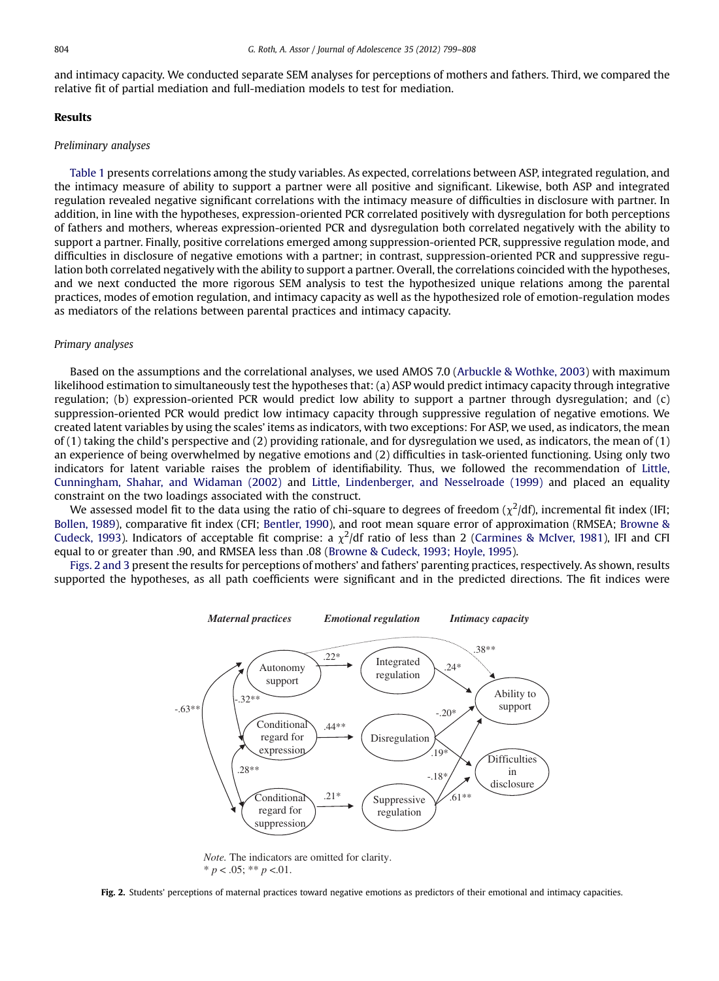<span id="page-5-0"></span>and intimacy capacity. We conducted separate SEM analyses for perceptions of mothers and fathers. Third, we compared the relative fit of partial mediation and full-mediation models to test for mediation.

# Results

# Preliminary analyses

[Table 1](#page-4-0) presents correlations among the study variables. As expected, correlations between ASP, integrated regulation, and the intimacy measure of ability to support a partner were all positive and significant. Likewise, both ASP and integrated regulation revealed negative significant correlations with the intimacy measure of difficulties in disclosure with partner. In addition, in line with the hypotheses, expression-oriented PCR correlated positively with dysregulation for both perceptions of fathers and mothers, whereas expression-oriented PCR and dysregulation both correlated negatively with the ability to support a partner. Finally, positive correlations emerged among suppression-oriented PCR, suppressive regulation mode, and difficulties in disclosure of negative emotions with a partner; in contrast, suppression-oriented PCR and suppressive regulation both correlated negatively with the ability to support a partner. Overall, the correlations coincided with the hypotheses, and we next conducted the more rigorous SEM analysis to test the hypothesized unique relations among the parental practices, modes of emotion regulation, and intimacy capacity as well as the hypothesized role of emotion-regulation modes as mediators of the relations between parental practices and intimacy capacity.

# Primary analyses

Based on the assumptions and the correlational analyses, we used AMOS 7.0 [\(Arbuckle & Wothke, 2003](#page-8-0)) with maximum likelihood estimation to simultaneously test the hypotheses that: (a) ASP would predict intimacy capacity through integrative regulation; (b) expression-oriented PCR would predict low ability to support a partner through dysregulation; and (c) suppression-oriented PCR would predict low intimacy capacity through suppressive regulation of negative emotions. We created latent variables by using the scales' items as indicators, with two exceptions: For ASP, we used, as indicators, the mean of (1) taking the child's perspective and (2) providing rationale, and for dysregulation we used, as indicators, the mean of (1) an experience of being overwhelmed by negative emotions and (2) difficulties in task-oriented functioning. Using only two indicators for latent variable raises the problem of identifiability. Thus, we followed the recommendation of [Little,](#page-8-0) [Cunningham, Shahar, and Widaman \(2002\)](#page-8-0) and [Little, Lindenberger, and Nesselroade \(1999\)](#page-8-0) and placed an equality constraint on the two loadings associated with the construct.

We assessed model fit to the data using the ratio of chi-square to degrees of freedom ( $\chi^2/df$ ), incremental fit index (IFI; [Bollen, 1989](#page-8-0)), comparative fit index (CFI; [Bentler, 1990](#page-8-0)), and root mean square error of approximation (RMSEA; [Browne &](#page-8-0) [Cudeck, 1993\)](#page-8-0). Indicators of acceptable fit comprise: a  $\chi^2$ /df ratio of less than 2 ([Carmines & McIver, 1981](#page-8-0)), IFI and CFI equal to or greater than .90, and RMSEA less than .08 ([Browne & Cudeck, 1993; Hoyle, 1995\)](#page-8-0).

Figs. 2 and 3 present the results for perceptions of mothers' and fathers' parenting practices, respectively. As shown, results supported the hypotheses, as all path coefficients were significant and in the predicted directions. The fit indices were



*Note.* The indicators are omitted for clarity.  $* p < .05; ** p < .01.$ 

Fig. 2. Students' perceptions of maternal practices toward negative emotions as predictors of their emotional and intimacy capacities.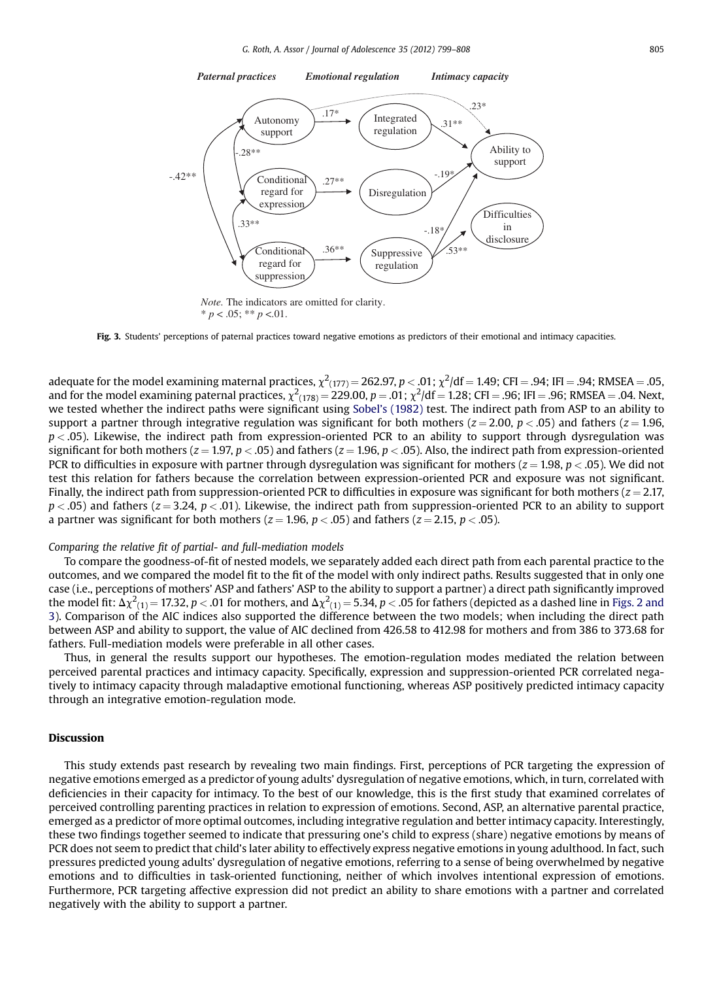

*Note.* The indicators are omitted for clarity.  $* p < .05; ** p < .01.$ 

Fig. 3. Students' perceptions of paternal practices toward negative emotions as predictors of their emotional and intimacy capacities.

adequate for the model examining maternal practices,  $\chi^2_{(177)} = 262.97$ ,  $p < .01$ ;  $\chi^2/df = 1.49$ ; CFI = .94; IFI = .94; RMSEA = .05, and for the model examining paternal practices,  $\chi^2_{(178)} = 229.00$ ,  $p = .01$ ;  $\chi^2$ /df = 1.28; CFI = .96; IFI = .96; RMSEA = .04. Next, we tested whether the indirect paths were significant using Sobel'[s \(1982\)](#page-9-0) test. The indirect path from ASP to an ability to support a partner through integrative regulation was significant for both mothers ( $z = 2.00$ ,  $p < .05$ ) and fathers ( $z = 1.96$ ,  $p < .05$ ). Likewise, the indirect path from expression-oriented PCR to an ability to support through dysregulation was significant for both mothers ( $z = 1.97$ ,  $p < .05$ ) and fathers ( $z = 1.96$ ,  $p < .05$ ). Also, the indirect path from expression-oriented PCR to difficulties in exposure with partner through dysregulation was significant for mothers ( $z = 1.98$ ,  $p < .05$ ). We did not test this relation for fathers because the correlation between expression-oriented PCR and exposure was not significant. Finally, the indirect path from suppression-oriented PCR to difficulties in exposure was significant for both mothers ( $z = 2.17$ ,  $p < .05$ ) and fathers ( $z = 3.24$ ,  $p < .01$ ). Likewise, the indirect path from suppression-oriented PCR to an ability to support a partner was significant for both mothers ( $z = 1.96$ ,  $p < .05$ ) and fathers ( $z = 2.15$ ,  $p < .05$ ).

# Comparing the relative fit of partial- and full-mediation models

To compare the goodness-of-fit of nested models, we separately added each direct path from each parental practice to the outcomes, and we compared the model fit to the fit of the model with only indirect paths. Results suggested that in only one case (i.e., perceptions of mothers' ASP and fathers' ASP to the ability to support a partner) a direct path significantly improved the model fit:  $\Delta\chi^2_{(1)}$  = 17.32, p < .01 for mothers, and  $\Delta\chi^2_{(1)}$  = 5.34, p < .05 for fathers (depicted as a dashed line in [Figs. 2 and](#page-5-0) [3\)](#page-5-0). Comparison of the AIC indices also supported the difference between the two models; when including the direct path between ASP and ability to support, the value of AIC declined from 426.58 to 412.98 for mothers and from 386 to 373.68 for fathers. Full-mediation models were preferable in all other cases.

Thus, in general the results support our hypotheses. The emotion-regulation modes mediated the relation between perceived parental practices and intimacy capacity. Specifically, expression and suppression-oriented PCR correlated negatively to intimacy capacity through maladaptive emotional functioning, whereas ASP positively predicted intimacy capacity through an integrative emotion-regulation mode.

# Discussion

This study extends past research by revealing two main findings. First, perceptions of PCR targeting the expression of negative emotions emerged as a predictor of young adults' dysregulation of negative emotions, which, in turn, correlated with deficiencies in their capacity for intimacy. To the best of our knowledge, this is the first study that examined correlates of perceived controlling parenting practices in relation to expression of emotions. Second, ASP, an alternative parental practice, emerged as a predictor of more optimal outcomes, including integrative regulation and better intimacy capacity. Interestingly, these two findings together seemed to indicate that pressuring one's child to express (share) negative emotions by means of PCR does not seem to predict that child's later ability to effectively express negative emotions in young adulthood. In fact, such pressures predicted young adults' dysregulation of negative emotions, referring to a sense of being overwhelmed by negative emotions and to difficulties in task-oriented functioning, neither of which involves intentional expression of emotions. Furthermore, PCR targeting affective expression did not predict an ability to share emotions with a partner and correlated negatively with the ability to support a partner.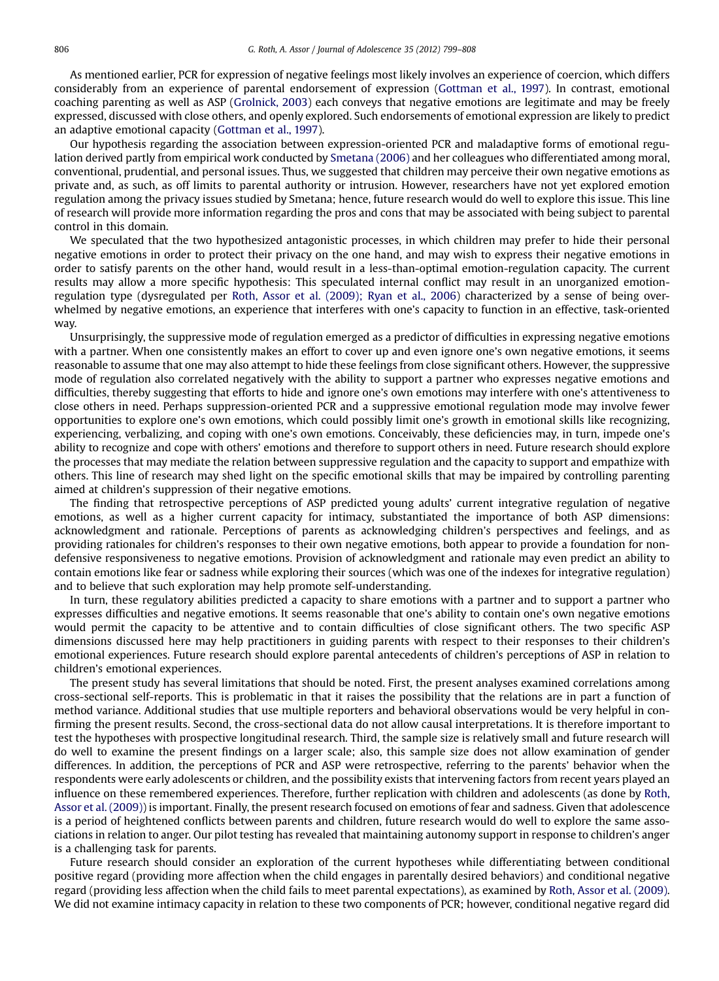As mentioned earlier, PCR for expression of negative feelings most likely involves an experience of coercion, which differs considerably from an experience of parental endorsement of expression [\(Gottman et al., 1997](#page-8-0)). In contrast, emotional coaching parenting as well as ASP [\(Grolnick, 2003](#page-8-0)) each conveys that negative emotions are legitimate and may be freely expressed, discussed with close others, and openly explored. Such endorsements of emotional expression are likely to predict an adaptive emotional capacity ([Gottman et al., 1997\)](#page-8-0).

Our hypothesis regarding the association between expression-oriented PCR and maladaptive forms of emotional regulation derived partly from empirical work conducted by [Smetana \(2006\)](#page-9-0) and her colleagues who differentiated among moral, conventional, prudential, and personal issues. Thus, we suggested that children may perceive their own negative emotions as private and, as such, as off limits to parental authority or intrusion. However, researchers have not yet explored emotion regulation among the privacy issues studied by Smetana; hence, future research would do well to explore this issue. This line of research will provide more information regarding the pros and cons that may be associated with being subject to parental control in this domain.

We speculated that the two hypothesized antagonistic processes, in which children may prefer to hide their personal negative emotions in order to protect their privacy on the one hand, and may wish to express their negative emotions in order to satisfy parents on the other hand, would result in a less-than-optimal emotion-regulation capacity. The current results may allow a more specific hypothesis: This speculated internal conflict may result in an unorganized emotionregulation type (dysregulated per [Roth, Assor et al. \(2009\); Ryan et al., 2006\)](#page-8-0) characterized by a sense of being overwhelmed by negative emotions, an experience that interferes with one's capacity to function in an effective, task-oriented way.

Unsurprisingly, the suppressive mode of regulation emerged as a predictor of difficulties in expressing negative emotions with a partner. When one consistently makes an effort to cover up and even ignore one's own negative emotions, it seems reasonable to assume that one may also attempt to hide these feelings from close significant others. However, the suppressive mode of regulation also correlated negatively with the ability to support a partner who expresses negative emotions and difficulties, thereby suggesting that efforts to hide and ignore one's own emotions may interfere with one's attentiveness to close others in need. Perhaps suppression-oriented PCR and a suppressive emotional regulation mode may involve fewer opportunities to explore one's own emotions, which could possibly limit one's growth in emotional skills like recognizing, experiencing, verbalizing, and coping with one's own emotions. Conceivably, these deficiencies may, in turn, impede one's ability to recognize and cope with others' emotions and therefore to support others in need. Future research should explore the processes that may mediate the relation between suppressive regulation and the capacity to support and empathize with others. This line of research may shed light on the specific emotional skills that may be impaired by controlling parenting aimed at children's suppression of their negative emotions.

The finding that retrospective perceptions of ASP predicted young adults' current integrative regulation of negative emotions, as well as a higher current capacity for intimacy, substantiated the importance of both ASP dimensions: acknowledgment and rationale. Perceptions of parents as acknowledging children's perspectives and feelings, and as providing rationales for children's responses to their own negative emotions, both appear to provide a foundation for nondefensive responsiveness to negative emotions. Provision of acknowledgment and rationale may even predict an ability to contain emotions like fear or sadness while exploring their sources (which was one of the indexes for integrative regulation) and to believe that such exploration may help promote self-understanding.

In turn, these regulatory abilities predicted a capacity to share emotions with a partner and to support a partner who expresses difficulties and negative emotions. It seems reasonable that one's ability to contain one's own negative emotions would permit the capacity to be attentive and to contain difficulties of close significant others. The two specific ASP dimensions discussed here may help practitioners in guiding parents with respect to their responses to their children's emotional experiences. Future research should explore parental antecedents of children's perceptions of ASP in relation to children's emotional experiences.

The present study has several limitations that should be noted. First, the present analyses examined correlations among cross-sectional self-reports. This is problematic in that it raises the possibility that the relations are in part a function of method variance. Additional studies that use multiple reporters and behavioral observations would be very helpful in confirming the present results. Second, the cross-sectional data do not allow causal interpretations. It is therefore important to test the hypotheses with prospective longitudinal research. Third, the sample size is relatively small and future research will do well to examine the present findings on a larger scale; also, this sample size does not allow examination of gender differences. In addition, the perceptions of PCR and ASP were retrospective, referring to the parents' behavior when the respondents were early adolescents or children, and the possibility exists that intervening factors from recent years played an influence on these remembered experiences. Therefore, further replication with children and adolescents (as done by [Roth,](#page-8-0) [Assor et al. \(2009\)](#page-8-0)) is important. Finally, the present research focused on emotions of fear and sadness. Given that adolescence is a period of heightened conflicts between parents and children, future research would do well to explore the same associations in relation to anger. Our pilot testing has revealed that maintaining autonomy support in response to children's anger is a challenging task for parents.

Future research should consider an exploration of the current hypotheses while differentiating between conditional positive regard (providing more affection when the child engages in parentally desired behaviors) and conditional negative regard (providing less affection when the child fails to meet parental expectations), as examined by [Roth, Assor et al. \(2009\)](#page-8-0). We did not examine intimacy capacity in relation to these two components of PCR; however, conditional negative regard did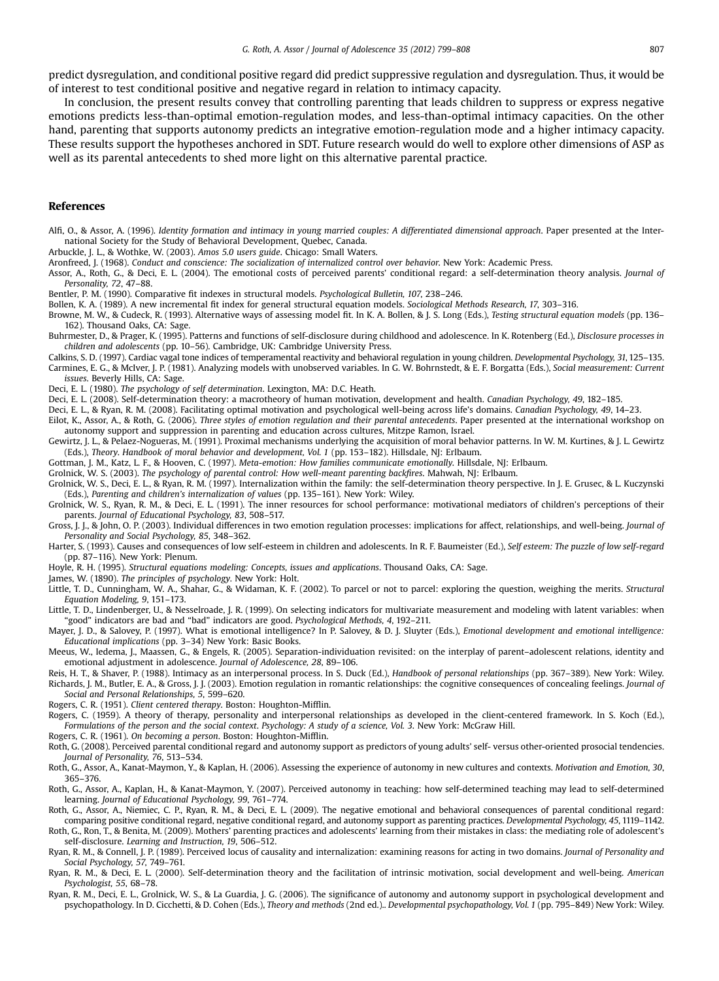<span id="page-8-0"></span>predict dysregulation, and conditional positive regard did predict suppressive regulation and dysregulation. Thus, it would be of interest to test conditional positive and negative regard in relation to intimacy capacity.

In conclusion, the present results convey that controlling parenting that leads children to suppress or express negative emotions predicts less-than-optimal emotion-regulation modes, and less-than-optimal intimacy capacities. On the other hand, parenting that supports autonomy predicts an integrative emotion-regulation mode and a higher intimacy capacity. These results support the hypotheses anchored in SDT. Future research would do well to explore other dimensions of ASP as well as its parental antecedents to shed more light on this alternative parental practice.

# References

Alfi, O., & Assor, A. (1996). Identity formation and intimacy in young married couples: A differentiated dimensional approach. Paper presented at the International Society for the Study of Behavioral Development, Quebec, Canada.

Arbuckle, J. L., & Wothke, W. (2003). Amos 5.0 users guide. Chicago: Small Waters.

Aronfreed, J. (1968). Conduct and conscience: The socialization of internalized control over behavior. New York: Academic Press.

Assor, A., Roth, G., & Deci, E. L. (2004). The emotional costs of perceived parents' conditional regard: a self-determination theory analysis. Journal of Personality, 72, 47–88.

Bentler, P. M. (1990). Comparative fit indexes in structural models. Psychological Bulletin, 107, 238–246.

Bollen, K. A. (1989). A new incremental fit index for general structural equation models. Sociological Methods Research, 17, 303–316.

Browne, M. W., & Cudeck, R. (1993). Alternative ways of assessing model fit. In K. A. Bollen, & J. S. Long (Eds.), Testing structural equation models (pp. 136– 162). Thousand Oaks, CA: Sage.

Buhrmester, D., & Prager, K. (1995). Patterns and functions of self-disclosure during childhood and adolescence. In K. Rotenberg (Ed.), Disclosure processes in children and adolescents (pp. 10–56). Cambridge, UK: Cambridge University Press.

Calkins, S. D. (1997). Cardiac vagal tone indices of temperamental reactivity and behavioral regulation in young children. Developmental Psychology, 31, 125–135. Carmines, E. G., & McIver, J. P. (1981). Analyzing models with unobserved variables. In G. W. Bohrnstedt, & E. F. Borgatta (Eds.), Social measurement: Current issues. Beverly Hills, CA: Sage.

Deci, E. L. (1980). The psychology of self determination. Lexington, MA: D.C. Heath.

Deci, E. L. (2008). Self-determination theory: a macrotheory of human motivation, development and health. Canadian Psychology, 49, 182–185.

Deci, E. L., & Ryan, R. M. (2008). Facilitating optimal motivation and psychological well-being across life's domains. Canadian Psychology, 49, 14–23.

Eilot, K., Assor, A., & Roth, G. (2006). Three styles of emotion regulation and their parental antecedents. Paper presented at the international workshop on autonomy support and suppression in parenting and education across cultures, Mitzpe Ramon, Israel.

Gewirtz, J. L., & Pelaez-Nogueras, M. (1991). Proximal mechanisms underlying the acquisition of moral behavior patterns. In W. M. Kurtines, & J. L. Gewirtz (Eds.), Theory. Handbook of moral behavior and development, Vol. 1 (pp. 153–182). Hillsdale, NJ: Erlbaum.

Gottman, J. M., Katz, L. F., & Hooven, C. (1997). Meta-emotion: How families communicate emotionally. Hillsdale, NJ: Erlbaum.

Grolnick, W. S. (2003). The psychology of parental control: How well-meant parenting backfires. Mahwah, NJ: Erlbaum.

Grolnick, W. S., Deci, E. L., & Ryan, R. M. (1997). Internalization within the family: the self-determination theory perspective. In J. E. Grusec, & L. Kuczynski (Eds.), Parenting and children's internalization of values (pp. 135–161). New York: Wiley.

Grolnick, W. S., Ryan, R. M., & Deci, E. L. (1991). The inner resources for school performance: motivational mediators of children's perceptions of their parents. Journal of Educational Psychology, 83, 508–517.

Harter, S. (1993). Causes and consequences of low self-esteem in children and adolescents. In R. F. Baumeister (Ed.), Self esteem: The puzzle of low self-regard (pp. 87–116). New York: Plenum.

Hoyle, R. H. (1995). Structural equations modeling: Concepts, issues and applications. Thousand Oaks, CA: Sage.

James, W. (1890). The principles of psychology. New York: Holt.

Little, T. D., Cunningham, W. A., Shahar, G., & Widaman, K. F. (2002). To parcel or not to parcel: exploring the question, weighing the merits. Structural Equation Modeling, 9, 151–173.

Little, T. D., Lindenberger, U., & Nesselroade, J. R. (1999). On selecting indicators for multivariate measurement and modeling with latent variables: when "good" indicators are bad and "bad" indicators are good. Psychological Methods, 4, 192–211.

Mayer, J. D., & Salovey, P. (1997). What is emotional intelligence? In P. Salovey, & D. J. Sluyter (Eds.), Emotional development and emotional intelligence: Educational implications (pp. 3–34) New York: Basic Books.

Meeus, W., Iedema, J., Maassen, G., & Engels, R. (2005). Separation-individuation revisited: on the interplay of parent–adolescent relations, identity and emotional adjustment in adolescence. Journal of Adolescence, 28, 89–106.

Reis, H. T., & Shaver, P. (1988). Intimacy as an interpersonal process. In S. Duck (Ed.), Handbook of personal relationships (pp. 367-389). New York: Wiley. Richards, J. M., Butler, E. A., & Gross, J. J. (2003). Emotion regulation in romantic relationships: the cognitive consequences of concealing feelings. Journal of Social and Personal Relationships, 5, 599–620.

Rogers, C. R. (1951). Client centered therapy. Boston: Houghton-Mifflin.

Rogers, C. (1959). A theory of therapy, personality and interpersonal relationships as developed in the client-centered framework. In S. Koch (Ed.), Formulations of the person and the social context. Psychology: A study of a science, Vol. 3. New York: McGraw Hill.

Rogers, C. R. (1961). On becoming a person. Boston: Houghton-Mifflin.

Roth, G. (2008). Perceived parental conditional regard and autonomy support as predictors of young adults' self- versus other-oriented prosocial tendencies. Journal of Personality, 76, 513–534.

Roth, G., Assor, A., Kanat-Maymon, Y., & Kaplan, H. (2006). Assessing the experience of autonomy in new cultures and contexts. Motivation and Emotion, 30, 365–376.

Roth, G., Assor, A., Kaplan, H., & Kanat-Maymon, Y. (2007). Perceived autonomy in teaching: how self-determined teaching may lead to self-determined learning. Journal of Educational Psychology, 99, 761–774.

Roth, G., Assor, A., Niemiec, C. P., Ryan, R. M., & Deci, E. L. (2009). The negative emotional and behavioral consequences of parental conditional regard: comparing positive conditional regard, negative conditional regard, and autonomy support as parenting practices. Developmental Psychology, 45, 1119-1142.

Roth, G., Ron, T., & Benita, M. (2009). Mothers' parenting practices and adolescents' learning from their mistakes in class: the mediating role of adolescent's self-disclosure. Learning and Instruction, 19, 506–512.

Ryan, R. M., & Connell, J. P. (1989). Perceived locus of causality and internalization: examining reasons for acting in two domains. Journal of Personality and Social Psychology, 57, 749–761.

Ryan, R. M., & Deci, E. L. (2000). Self-determination theory and the facilitation of intrinsic motivation, social development and well-being. American Psychologist, 55, 68–78.

Ryan, R. M., Deci, E. L., Grolnick, W. S., & La Guardia, J. G. (2006). The significance of autonomy and autonomy support in psychological development and psychopathology. In D. Cicchetti, & D. Cohen (Eds.), Theory and methods (2nd ed.).. Developmental psychopathology, Vol. 1 (pp. 795–849) New York: Wiley.

Gross, J. J., & John, O. P. (2003). Individual differences in two emotion regulation processes: implications for affect, relationships, and well-being. Journal of Personality and Social Psychology, 85, 348–362.